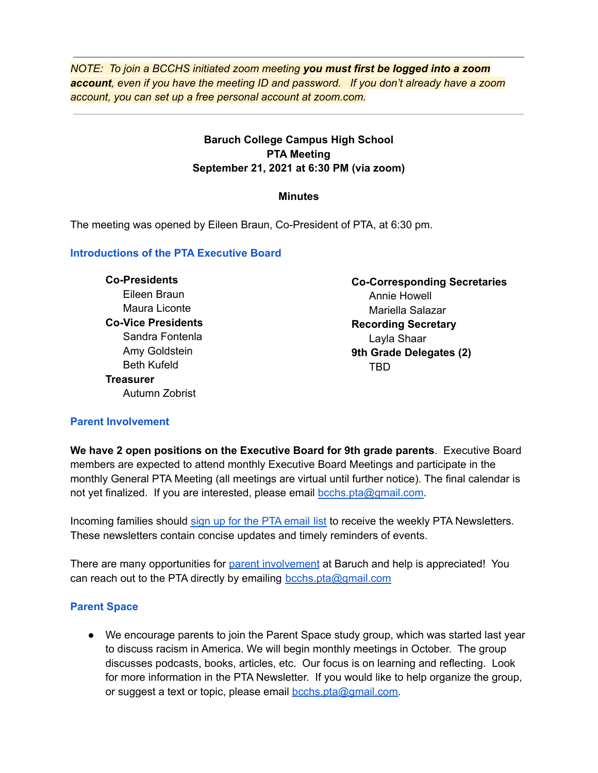*NOTE: To join a BCCHS initiated zoom meeting you must first be logged into a zoom account, even if you have the meeting ID and password. If you don't already have a zoom account, you can set up a free personal account at zoom.com.*

# **Baruch College Campus High School PTA Meeting September 21, 2021 at 6:30 PM (via zoom)**

### **Minutes**

The meeting was opened by Eileen Braun, Co-President of PTA, at 6:30 pm.

## **Introductions of the PTA Executive Board**

**Co-Presidents** Eileen Braun Maura Liconte **Co-Vice Presidents** Sandra Fontenla Amy Goldstein Beth Kufeld **Treasurer** Autumn Zobrist

**Co-Corresponding Secretaries** Annie Howell Mariella Salazar **Recording Secretary** Layla Shaar **9th Grade Delegates (2)** TBD

## **Parent Involvement**

**We have 2 open positions on the Executive Board for 9th grade parents**. Executive Board members are expected to attend monthly Executive Board Meetings and participate in the monthly General PTA Meeting (all meetings are virtual until further notice). The final calendar is not yet finalized. If you are interested, please email [bcchs.pta@gmail.com.](mailto:bcchs.pta@gmail.com)

Incoming families should sign up for the PTA [email](https://visitor.r20.constantcontact.com/manage/optin?v=001wFvNsyeng3hzOfzBojDUzA3LxoRU7zQ9fOnpXHNojubsnFCFCmwU57EWziuhkBLlduURdw_VQh5akiT25zj0RH6JIVSB1dn-vph7-7TZT0U%3D) list to receive the weekly PTA Newsletters. These newsletters contain concise updates and timely reminders of events.

There are many opportunities for parent [involvement](https://www.bcchsnyc.net/support-us/) at Baruch and help is appreciated! You can reach out to the PTA directly by emailing **[bcchs.pta@gmail.com](mailto:bcchs.pta@gmail.com)** 

## **Parent Space**

● We encourage parents to join the Parent Space study group, which was started last year to discuss racism in America. We will begin monthly meetings in October. The group discusses podcasts, books, articles, etc. Our focus is on learning and reflecting. Look for more information in the PTA Newsletter. If you would like to help organize the group, or suggest a text or topic, please email [bcchs.pta@gmail.com.](mailto:bcchs.pta@gmail.com)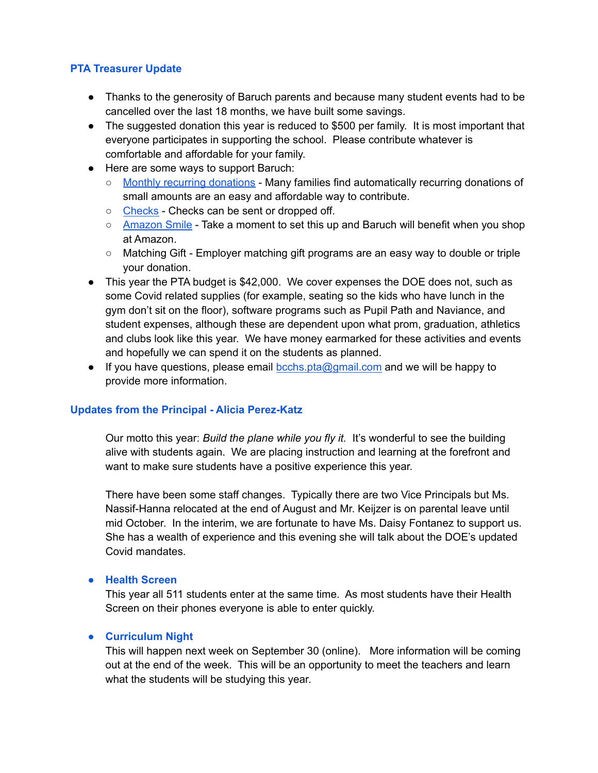## **PTA Treasurer Update**

- Thanks to the generosity of Baruch parents and because many student events had to be cancelled over the last 18 months, we have built some savings.
- The suggested donation this year is reduced to \$500 per family. It is most important that everyone participates in supporting the school. Please contribute whatever is comfortable and affordable for your family.
- Here are some ways to support Baruch:
	- Monthly recurring [donations](https://www.paypal.com/donate/?cmd=_s-xclick&hosted_button_id=7S262C3XS83D2) Many families find automatically recurring donations of small amounts are an easy and affordable way to contribute.
	- C[hecks](https://www.bcchsnyc.net/wp-content/uploads/2020/09/PTA-Donation-Form.pdf) Checks can be sent or dropped off.
	- [Amazon](https://smile.amazon.com/ap/signin?_encoding=UTF8&openid.assoc_handle=usflex&openid.claimed_id=http%3A%2F%2Fspecs.openid.net%2Fauth%2F2.0%2Fidentifier_select&openid.identity=http%3A%2F%2Fspecs.openid.net%2Fauth%2F2.0%2Fidentifier_select&openid.mode=checkid_setup&openid.ns=http%3A%2F%2Fspecs.openid.net%2Fauth%2F2.0&openid.ns.pape=http%3A%2F%2Fspecs.openid.net%2Fextensions%2Fpape%2F1.0&openid.pape.max_auth_age=0&openid.return_to=https%3A%2F%2Fsmile.amazon.com%2Fref%3Dsmi_se_ya_so_ul&pageId=amzn_smile) Smile Take a moment to set this up and Baruch will benefit when you shop at Amazon.
	- Matching Gift Employer matching gift programs are an easy way to double or triple your donation.
- This year the PTA budget is \$42,000. We cover expenses the DOE does not, such as some Covid related supplies (for example, seating so the kids who have lunch in the gym don't sit on the floor), software programs such as Pupil Path and Naviance, and student expenses, although these are dependent upon what prom, graduation, athletics and clubs look like this year. We have money earmarked for these activities and events and hopefully we can spend it on the students as planned.
- If you have questions, please email [bcchs.pta@gmail.com](mailto:bcchs.pta@gmail.com) and we will be happy to provide more information.

## **Updates from the Principal - Alicia Perez-Katz**

Our motto this year: *Build the plane while you fly it.* It's wonderful to see the building alive with students again. We are placing instruction and learning at the forefront and want to make sure students have a positive experience this year.

There have been some staff changes. Typically there are two Vice Principals but Ms. Nassif-Hanna relocated at the end of August and Mr. Keijzer is on parental leave until mid October. In the interim, we are fortunate to have Ms. Daisy Fontanez to support us. She has a wealth of experience and this evening she will talk about the DOE's updated Covid mandates.

### **● Health Screen**

This year all 511 students enter at the same time. As most students have their Health Screen on their phones everyone is able to enter quickly.

### **● Curriculum Night**

This will happen next week on September 30 (online). More information will be coming out at the end of the week. This will be an opportunity to meet the teachers and learn what the students will be studying this year.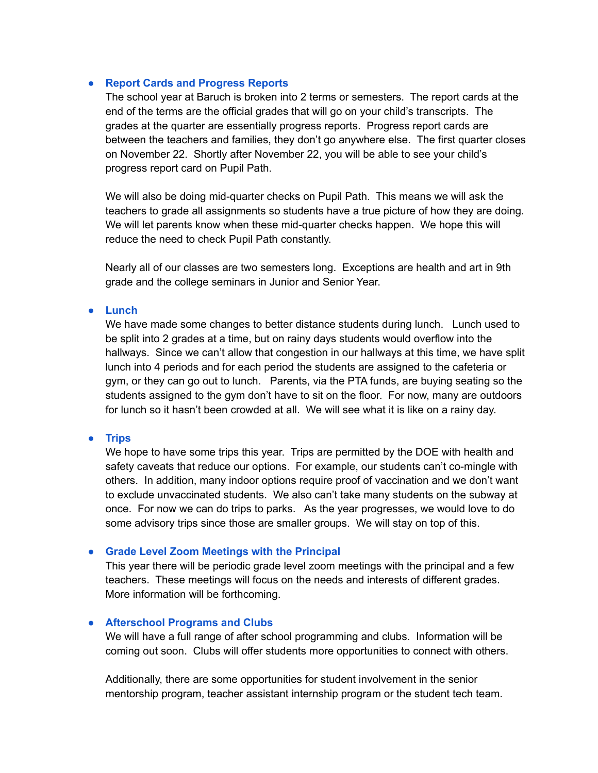### **● Report Cards and Progress Reports**

The school year at Baruch is broken into 2 terms or semesters. The report cards at the end of the terms are the official grades that will go on your child's transcripts. The grades at the quarter are essentially progress reports. Progress report cards are between the teachers and families, they don't go anywhere else. The first quarter closes on November 22. Shortly after November 22, you will be able to see your child's progress report card on Pupil Path.

We will also be doing mid-quarter checks on Pupil Path. This means we will ask the teachers to grade all assignments so students have a true picture of how they are doing. We will let parents know when these mid-quarter checks happen. We hope this will reduce the need to check Pupil Path constantly.

Nearly all of our classes are two semesters long. Exceptions are health and art in 9th grade and the college seminars in Junior and Senior Year.

#### **● Lunch**

We have made some changes to better distance students during lunch. Lunch used to be split into 2 grades at a time, but on rainy days students would overflow into the hallways. Since we can't allow that congestion in our hallways at this time, we have split lunch into 4 periods and for each period the students are assigned to the cafeteria or gym, or they can go out to lunch. Parents, via the PTA funds, are buying seating so the students assigned to the gym don't have to sit on the floor. For now, many are outdoors for lunch so it hasn't been crowded at all. We will see what it is like on a rainy day.

#### **● Trips**

We hope to have some trips this year. Trips are permitted by the DOE with health and safety caveats that reduce our options. For example, our students can't co-mingle with others. In addition, many indoor options require proof of vaccination and we don't want to exclude unvaccinated students. We also can't take many students on the subway at once. For now we can do trips to parks. As the year progresses, we would love to do some advisory trips since those are smaller groups. We will stay on top of this.

### **● Grade Level Zoom Meetings with the Principal**

This year there will be periodic grade level zoom meetings with the principal and a few teachers. These meetings will focus on the needs and interests of different grades. More information will be forthcoming.

### **● Afterschool Programs and Clubs**

We will have a full range of after school programming and clubs. Information will be coming out soon. Clubs will offer students more opportunities to connect with others.

Additionally, there are some opportunities for student involvement in the senior mentorship program, teacher assistant internship program or the student tech team.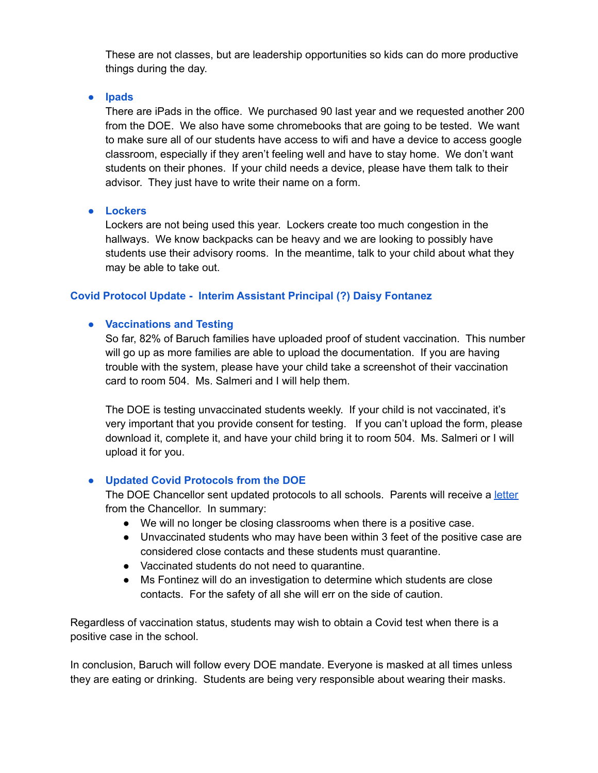These are not classes, but are leadership opportunities so kids can do more productive things during the day.

**● Ipads**

There are iPads in the office. We purchased 90 last year and we requested another 200 from the DOE. We also have some chromebooks that are going to be tested. We want to make sure all of our students have access to wifi and have a device to access google classroom, especially if they aren't feeling well and have to stay home. We don't want students on their phones. If your child needs a device, please have them talk to their advisor. They just have to write their name on a form.

### **● Lockers**

Lockers are not being used this year. Lockers create too much congestion in the hallways. We know backpacks can be heavy and we are looking to possibly have students use their advisory rooms. In the meantime, talk to your child about what they may be able to take out.

# **Covid Protocol Update - Interim Assistant Principal (?) Daisy Fontanez**

## **● Vaccinations and Testing**

So far, 82% of Baruch families have uploaded proof of student vaccination. This number will go up as more families are able to upload the documentation. If you are having trouble with the system, please have your child take a screenshot of their vaccination card to room 504. Ms. Salmeri and I will help them.

The DOE is testing unvaccinated students weekly. If your child is not vaccinated, it's very important that you provide consent for testing. If you can't upload the form, please download it, complete it, and have your child bring it to room 504. Ms. Salmeri or I will upload it for you.

## **● Updated Covid Protocols from the DOE**

The DOE Chancellor sent updated protocols to all schools. Parents will receive a [letter](https://www.schools.nyc.gov/about-us/messages-for-families) from the Chancellor. In summary:

- We will no longer be closing classrooms when there is a positive case.
- Unvaccinated students who may have been within 3 feet of the positive case are considered close contacts and these students must quarantine.
- Vaccinated students do not need to quarantine.
- Ms Fontinez will do an investigation to determine which students are close contacts. For the safety of all she will err on the side of caution.

Regardless of vaccination status, students may wish to obtain a Covid test when there is a positive case in the school.

In conclusion, Baruch will follow every DOE mandate. Everyone is masked at all times unless they are eating or drinking. Students are being very responsible about wearing their masks.